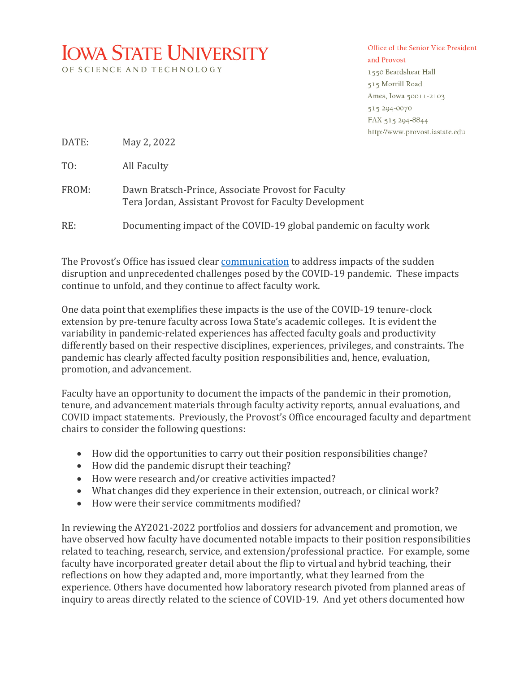## **IOWA STATE UNIVERSITY**

OF SCIENCE AND TECHNOLOGY

## Office of the Senior Vice President and Provost 1550 Beardshear Hall 515 Morrill Road Ames, Iowa 50011-2103

515 294-0070 FAX 515 294-8844 http://www.provost.iastate.edu

DATE: May 2, 2022

TO: All Faculty

FROM: Dawn Bratsch-Prince, Associate Provost for Faculty Tera Jordan, Assistant Provost for Faculty Development

RE: Documenting impact of the COVID-19 global pandemic on faculty work

The Provost's Office has issued clear communication to address impacts of the sudden disruption and unprecedented challenges posed by the COVID-19 pandemic. These impacts continue to unfold, and they continue to affect faculty work.

One data point that exemplifies these impacts is the use of the COVID-19 tenure-clock extension by pre-tenure faculty across Iowa State's academic colleges. It is evident the variability in pandemic-related experiences has affected faculty goals and productivity differently based on their respective disciplines, experiences, privileges, and constraints. The pandemic has clearly affected faculty position responsibilities and, hence, evaluation, promotion, and advancement.

Faculty have an opportunity to document the impacts of the pandemic in their promotion, tenure, and advancement materials through faculty activity reports, annual evaluations, and COVID impact statements. Previously, the Provost's Office encouraged faculty and department chairs to consider the following questions:

- How did the opportunities to carry out their position responsibilities change?
- $\bullet$  How did the pandemic disrupt their teaching?
- How were research and/or creative activities impacted?
- What changes did they experience in their extension, outreach, or clinical work?
- How were their service commitments modified?

In reviewing the AY2021-2022 portfolios and dossiers for advancement and promotion, we have observed how faculty have documented notable impacts to their position responsibilities related to teaching, research, service, and extension/professional practice. For example, some faculty have incorporated greater detail about the flip to virtual and hybrid teaching, their reflections on how they adapted and, more importantly, what they learned from the experience. Others have documented how laboratory research pivoted from planned areas of inquiry to areas directly related to the science of COVID-19. And yet others documented how